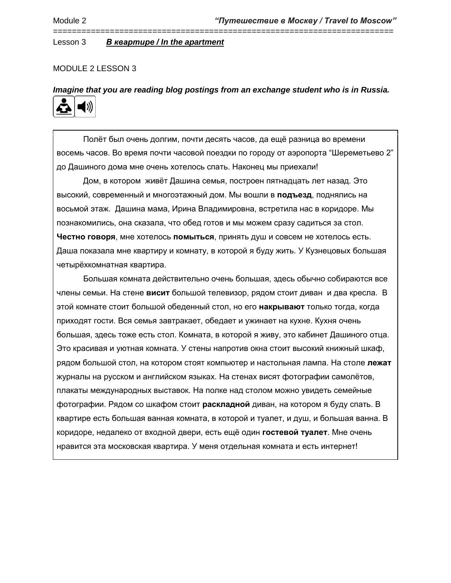## MODULE 2 LESSON 3

*Imagine that you are reading blog postings from an exchange student who is in Russia.*

========================================================================



Полёт был очень долгим, почти десять часов, да ещё разница во времени восемь часов. Во время почти часовой поездки по городу от аэропорта "Шереметьево 2" до Дашиного дома мне очень хотелось спать. Наконец мы приехали!

Дом, в котором живёт Дашина семья, построен пятнадцать лет назад. Это высокий, современный и многоэтажный дом. Мы вошли в **подъезд**, поднялись на восьмой этаж. Дашина мама, Ирина Владимировна, встретила нас в коридоре. Мы познакомились, она сказала, что обед готов и мы можем сразу садиться за стол. **Честно говоря**, мне хотелось **помыться**, принять душ и совсем не хотелось есть. Даша показала мне квартиру и комнату, в которой я буду жить. У Кузнецовых большая четырёхкомнатная квартира.

Большая комната действительно очень большая, здесь обычно собираются все члены семьи. На стене **висит** большой телевизор, рядом стоит диван и два кресла. В этой комнате стоит большой обеденный стол, но его **накрывают** только тогда, когда приходят гости. Вся семья завтракает, обедает и ужинает на кухне. Кухня очень большая, здесь тоже есть стол. Комната, в которой я живу, это кабинет Дашиного отца. Это красивая и уютная комната. У стены напротив окна стоит высокий книжный шкаф, рядом большой стол, на котором стоят компьютер и настольная лампа. На столе **лежат** журналы на русском и английском языках. На стенах висят фотографии самолётов, плакаты международных выставок. На полке над столом можно увидеть семейные фотографии. Рядом со шкафом стоит **раскладной** диван, на котором я буду спать. В квартире есть большая ванная комната, в которой и туалет, и душ, и большая ванна. В коридоре, недалеко от входной двери, есть ещё один **гостевой туалет**. Мне очень нравится эта московская квартира. У меня отдельная комната и есть интернет!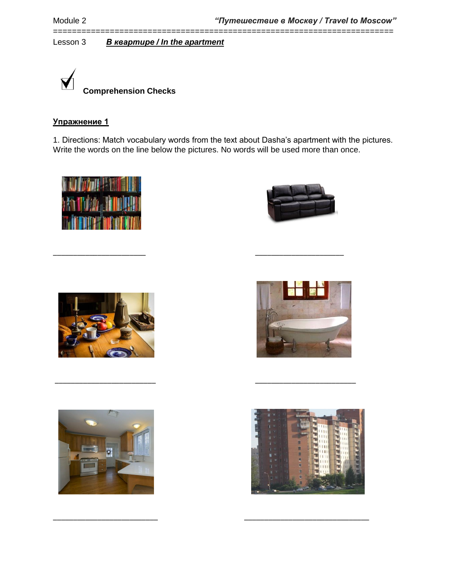

# **Упражнение 1**

1. Directions: Match vocabulary words from the text about Dasha's apartment with the pictures. Write the words on the line below the pictures. No words will be used more than once.

\_\_\_\_\_\_\_\_\_\_\_\_\_\_\_\_\_\_\_\_\_\_\_ \_\_\_\_\_\_\_\_\_\_\_\_\_\_\_\_\_\_\_\_\_\_

\_\_\_\_\_\_\_\_\_\_\_\_\_\_\_\_\_\_\_\_\_\_\_\_\_ \_\_\_\_\_\_\_\_\_\_\_\_\_\_\_\_\_\_\_\_\_\_\_\_\_

\_\_\_\_\_\_\_\_\_\_\_\_\_\_\_\_\_\_\_\_\_\_\_\_\_\_ \_\_\_\_\_\_\_\_\_\_\_\_\_\_\_\_\_\_\_\_\_\_\_\_\_\_\_\_\_\_\_

========================================================================











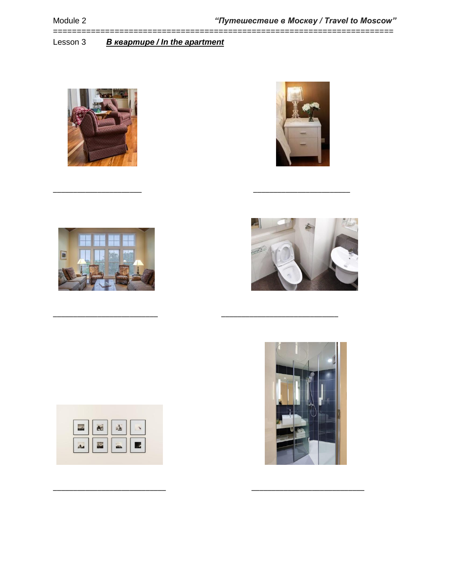============

**B** keapmupe / In the apartment Lesson 3











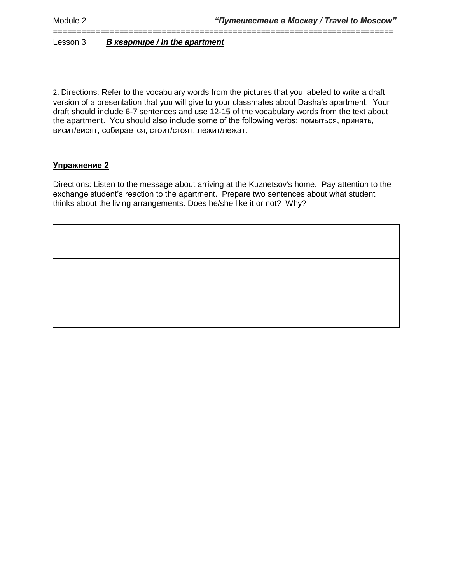2. Directions: Refer to the vocabulary words from the pictures that you labeled to write a draft version of a presentation that you will give to your classmates about Dasha's apartment. Your draft should include 6-7 sentences and use 12-15 of the vocabulary words from the text about the apartment. You should also include some of the following verbs: помыться, принять, висит/висят, собирается, стоит/стоят, лежит/лежат.

========================================================================

## **Упражнение 2**

Directions: Listen to the message about arriving at the Kuznetsov's home. Pay attention to the exchange student's reaction to the apartment. Prepare two sentences about what student thinks about the living arrangements. Does he/she like it or not? Why?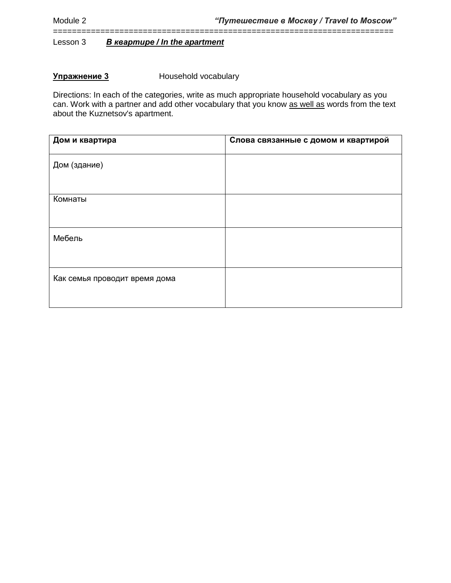## **Упражнение 3** Household vocabulary

Directions: In each of the categories, write as much appropriate household vocabulary as you can. Work with a partner and add other vocabulary that you know as well as words from the text about the Kuznetsov's apartment.

========================================================================

| Дом и квартира                | Слова связанные с домом и квартирой |
|-------------------------------|-------------------------------------|
| Дом (здание)                  |                                     |
|                               |                                     |
| Комнаты                       |                                     |
|                               |                                     |
| Мебель                        |                                     |
|                               |                                     |
| Как семья проводит время дома |                                     |
|                               |                                     |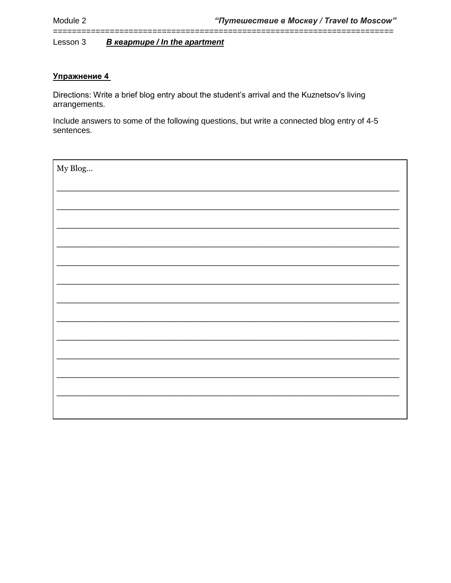Lesson 3 **B** keapmupe / In the apartment

## Упражнение 4

=============

Directions: Write a brief blog entry about the student's arrival and the Kuznetsov's living arrangements.

Include answers to some of the following questions, but write a connected blog entry of 4-5 sentences.

| My Blog |  |
|---------|--|
|         |  |
|         |  |
|         |  |
|         |  |
|         |  |
|         |  |
|         |  |
|         |  |
|         |  |
|         |  |
|         |  |
|         |  |
|         |  |
|         |  |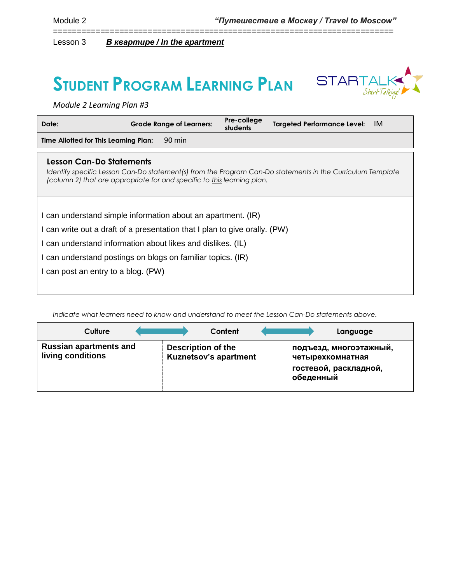# $\text{STUDENT PROGRAM LEARNING PLAN$   $\text{STARTALK}$



*Module 2 Learning Plan #3*

| Date:                                                                                                                                                                                                                                                                                                           | <b>Grade Range of Learners:</b>                                         | Pre-college<br>students | <b>Targeted Performance Level:</b><br>IM.                                                                  |
|-----------------------------------------------------------------------------------------------------------------------------------------------------------------------------------------------------------------------------------------------------------------------------------------------------------------|-------------------------------------------------------------------------|-------------------------|------------------------------------------------------------------------------------------------------------|
| Time Allotted for This Learning Plan:                                                                                                                                                                                                                                                                           | 90 min                                                                  |                         |                                                                                                            |
| Lesson Can-Do Statements                                                                                                                                                                                                                                                                                        | (column 2) that are appropriate for and specific to this learning plan. |                         | Identify specific Lesson Can-Do statement(s) from the Program Can-Do statements in the Curriculum Template |
| I can understand simple information about an apartment. (IR)<br>I can write out a draft of a presentation that I plan to give orally. (PW)<br>I can understand information about likes and dislikes. (IL)<br>I can understand postings on blogs on familiar topics. (IR)<br>I can post an entry to a blog. (PW) |                                                                         |                         |                                                                                                            |

========================================================================

*Indicate what learners need to know and understand to meet the Lesson Can-Do statements above.* 

| Culture                                            | Content                                                   | Language                                                                         |
|----------------------------------------------------|-----------------------------------------------------------|----------------------------------------------------------------------------------|
| <b>Russian apartments and</b><br>living conditions | <b>Description of the</b><br><b>Kuznetsov's apartment</b> | подъезд, многоэтажный,<br>четырехкомнатная<br>гостевой, раскладной,<br>обеденный |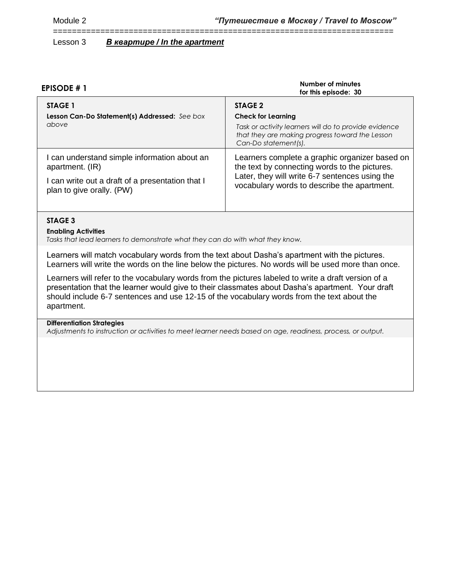| <b>EPISODE #1</b>                                                                                                                                | Number of minutes<br>for this episode: 30                                                                                                                                                        |
|--------------------------------------------------------------------------------------------------------------------------------------------------|--------------------------------------------------------------------------------------------------------------------------------------------------------------------------------------------------|
| <b>STAGE 1</b><br>Lesson Can-Do Statement(s) Addressed: See box<br>above                                                                         | STAGE 2<br><b>Check for Learning</b><br>Task or activity learners will do to provide evidence<br>that they are making progress toward the Lesson<br>Can-Do statement(s).                         |
| I can understand simple information about an<br>apartment. (IR)<br>I can write out a draft of a presentation that I<br>plan to give orally. (PW) | Learners complete a graphic organizer based on<br>the text by connecting words to the pictures.<br>Later, they will write 6-7 sentences using the<br>vocabulary words to describe the apartment. |

========================================================================

## **STAGE 3**

#### **Enabling Activities**

*Tasks that lead learners to demonstrate what they can do with what they know.*

Learners will match vocabulary words from the text about Dasha's apartment with the pictures. Learners will write the words on the line below the pictures. No words will be used more than once.

Learners will refer to the vocabulary words from the pictures labeled to write a draft version of a presentation that the learner would give to their classmates about Dasha's apartment. Your draft should include 6-7 sentences and use 12-15 of the vocabulary words from the text about the apartment.

#### **Differentiation Strategies**

*Adjustments to instruction or activities to meet learner needs based on age, readiness, process, or output.*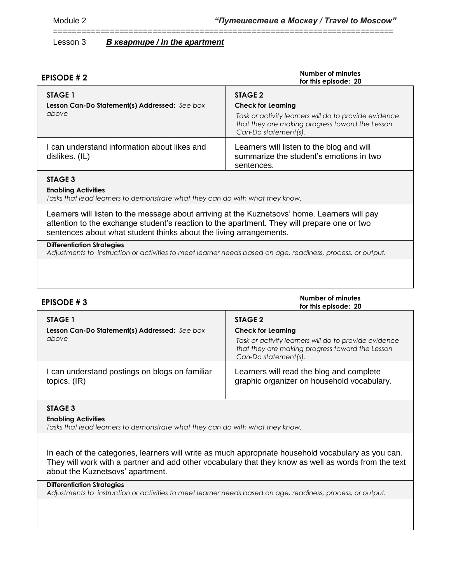| <b>EPISODE #2</b>                                                 | Number of minutes<br>for this episode: 20                                                                                                                                |
|-------------------------------------------------------------------|--------------------------------------------------------------------------------------------------------------------------------------------------------------------------|
| STAGE 1<br>Lesson Can-Do Statement(s) Addressed: See box<br>above | STAGE 2<br><b>Check for Learning</b><br>Task or activity learners will do to provide evidence<br>that they are making progress toward the Lesson<br>Can-Do statement(s). |
| I can understand information about likes and<br>dislikes. (IL)    | Learners will listen to the blog and will<br>summarize the student's emotions in two<br>sentences.                                                                       |

========================================================================

## **STAGE 3**

#### **Enabling Activities**

*Tasks that lead learners to demonstrate what they can do with what they know.*

Learners will listen to the message about arriving at the Kuznetsovs' home. Learners will pay attention to the exchange student's reaction to the apartment. They will prepare one or two sentences about what student thinks about the living arrangements.

#### **Differentiation Strategies**

*Adjustments to instruction or activities to meet learner needs based on age, readiness, process, or output.*

| EPISODE #3                                                        | Number of minutes<br>for this episode: 20                                                                                                                                |
|-------------------------------------------------------------------|--------------------------------------------------------------------------------------------------------------------------------------------------------------------------|
| STAGE 1<br>Lesson Can-Do Statement(s) Addressed: See box<br>above | STAGE 2<br><b>Check for Learning</b><br>Task or activity learners will do to provide evidence<br>that they are making progress toward the Lesson<br>Can-Do statement(s). |
| I can understand postings on blogs on familiar<br>topics. (IR)    | Learners will read the blog and complete<br>graphic organizer on household vocabulary.                                                                                   |

## **STAGE 3**

#### **Enabling Activities**

*Tasks that lead learners to demonstrate what they can do with what they know.*

In each of the categories, learners will write as much appropriate household vocabulary as you can. They will work with a partner and add other vocabulary that they know as well as words from the text about the Kuznetsovs' apartment.

## **Differentiation Strategies**

*Adjustments to instruction or activities to meet learner needs based on age, readiness, process, or output.*